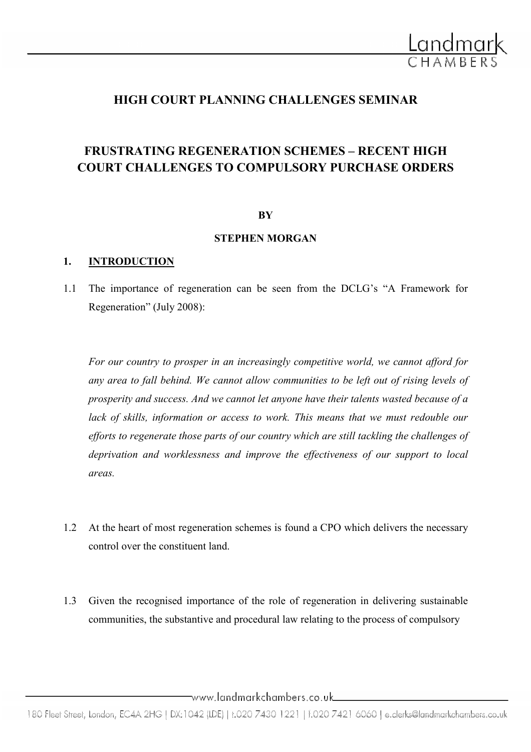

# HIGH COURT PLANNING CHALLENGES SEMINAR

# FRUSTRATING REGENERATION SCHEMES – RECENT HIGH COURT CHALLENGES TO COMPULSORY PURCHASE ORDERS

### **BY**

# STEPHEN MORGAN

### 1. INTRODUCTION

1.1 The importance of regeneration can be seen from the DCLG's "A Framework for Regeneration" (July 2008):

For our country to prosper in an increasingly competitive world, we cannot afford for any area to fall behind. We cannot allow communities to be left out of rising levels of prosperity and success. And we cannot let anyone have their talents wasted because of a lack of skills, information or access to work. This means that we must redouble our efforts to regenerate those parts of our country which are still tackling the challenges of deprivation and worklessness and improve the effectiveness of our support to local areas.

- 1.2 At the heart of most regeneration schemes is found a CPO which delivers the necessary control over the constituent land.
- 1.3 Given the recognised importance of the role of regeneration in delivering sustainable communities, the substantive and procedural law relating to the process of compulsory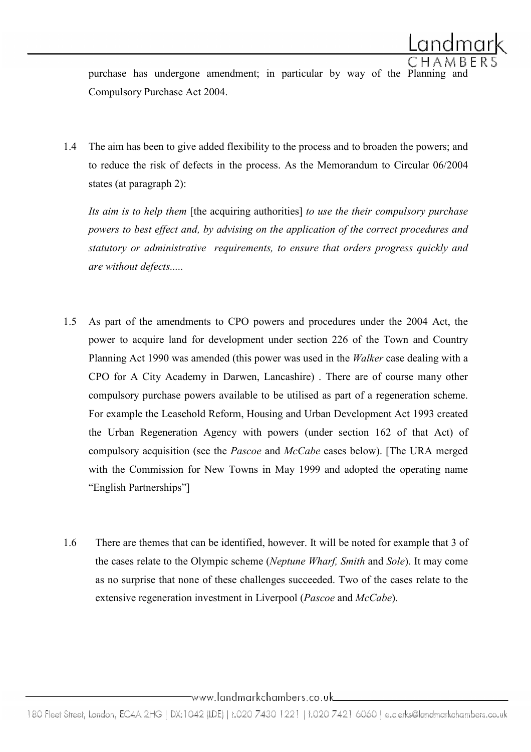purchase has undergone amendment; in particular by way of the Planning and Compulsory Purchase Act 2004.

1.4 The aim has been to give added flexibility to the process and to broaden the powers; and to reduce the risk of defects in the process. As the Memorandum to Circular 06/2004 states (at paragraph 2):

Its aim is to help them [the acquiring authorities] to use the their compulsory purchase powers to best effect and, by advising on the application of the correct procedures and statutory or administrative requirements, to ensure that orders progress quickly and are without defects.....

- 1.5 As part of the amendments to CPO powers and procedures under the 2004 Act, the power to acquire land for development under section 226 of the Town and Country Planning Act 1990 was amended (this power was used in the Walker case dealing with a CPO for A City Academy in Darwen, Lancashire) . There are of course many other compulsory purchase powers available to be utilised as part of a regeneration scheme. For example the Leasehold Reform, Housing and Urban Development Act 1993 created the Urban Regeneration Agency with powers (under section 162 of that Act) of compulsory acquisition (see the *Pascoe* and *McCabe* cases below). [The URA merged with the Commission for New Towns in May 1999 and adopted the operating name "English Partnerships"]
- 1.6 There are themes that can be identified, however. It will be noted for example that 3 of the cases relate to the Olympic scheme (Neptune Wharf, Smith and Sole). It may come as no surprise that none of these challenges succeeded. Two of the cases relate to the extensive regeneration investment in Liverpool (Pascoe and McCabe).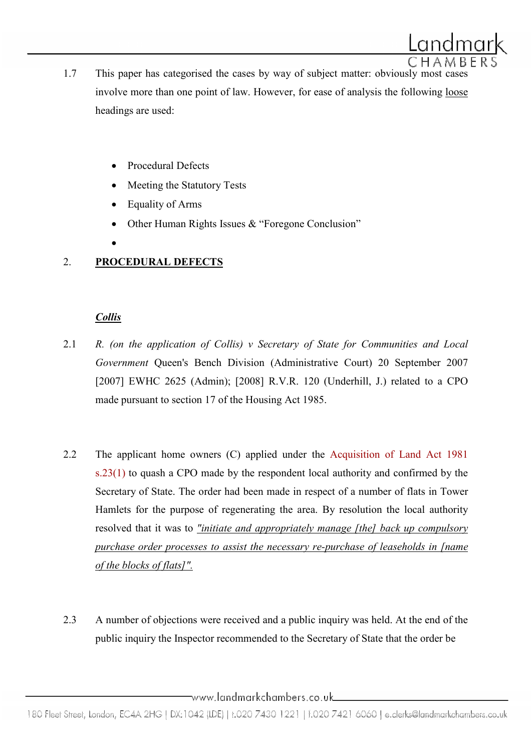- 1.7 This paper has categorised the cases by way of subject matter: obviously most cases involve more than one point of law. However, for ease of analysis the following loose headings are used:
	- Procedural Defects
	- Meeting the Statutory Tests
	- Equality of Arms
	- Other Human Rights Issues & "Foregone Conclusion"
	- •

# 2. PROCEDURAL DEFECTS

# **Collis**

- 2.1  $\,$  R. (on the application of Collis) v Secretary of State for Communities and Local Government Queen's Bench Division (Administrative Court) 20 September 2007 [2007] EWHC 2625 (Admin); [2008] R.V.R. 120 (Underhill, J.) related to a CPO made pursuant to section 17 of the Housing Act 1985.
- 2.2 The applicant home owners (C) applied under the Acquisition of Land Act 1981 s.23(1) to quash a CPO made by the respondent local authority and confirmed by the Secretary of State. The order had been made in respect of a number of flats in Tower Hamlets for the purpose of regenerating the area. By resolution the local authority resolved that it was to "initiate and appropriately manage [the] back up compulsory purchase order processes to assist the necessary re-purchase of leaseholds in [name of the blocks of flats]".
- 2.3 A number of objections were received and a public inquiry was held. At the end of the public inquiry the Inspector recommended to the Secretary of State that the order be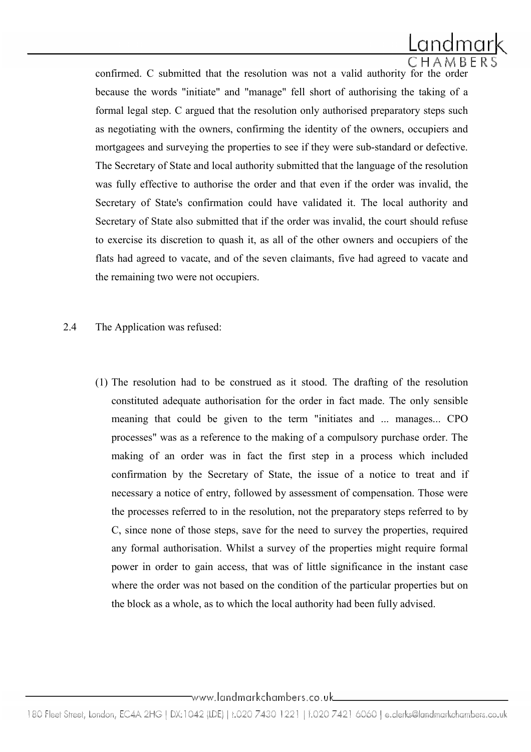

 confirmed. C submitted that the resolution was not a valid authority for the order because the words "initiate" and "manage" fell short of authorising the taking of a formal legal step. C argued that the resolution only authorised preparatory steps such as negotiating with the owners, confirming the identity of the owners, occupiers and mortgagees and surveying the properties to see if they were sub-standard or defective. The Secretary of State and local authority submitted that the language of the resolution was fully effective to authorise the order and that even if the order was invalid, the Secretary of State's confirmation could have validated it. The local authority and Secretary of State also submitted that if the order was invalid, the court should refuse to exercise its discretion to quash it, as all of the other owners and occupiers of the flats had agreed to vacate, and of the seven claimants, five had agreed to vacate and the remaining two were not occupiers.

- 2.4 The Application was refused:
	- (1) The resolution had to be construed as it stood. The drafting of the resolution constituted adequate authorisation for the order in fact made. The only sensible meaning that could be given to the term "initiates and ... manages... CPO processes" was as a reference to the making of a compulsory purchase order. The making of an order was in fact the first step in a process which included confirmation by the Secretary of State, the issue of a notice to treat and if necessary a notice of entry, followed by assessment of compensation. Those were the processes referred to in the resolution, not the preparatory steps referred to by C, since none of those steps, save for the need to survey the properties, required any formal authorisation. Whilst a survey of the properties might require formal power in order to gain access, that was of little significance in the instant case where the order was not based on the condition of the particular properties but on the block as a whole, as to which the local authority had been fully advised.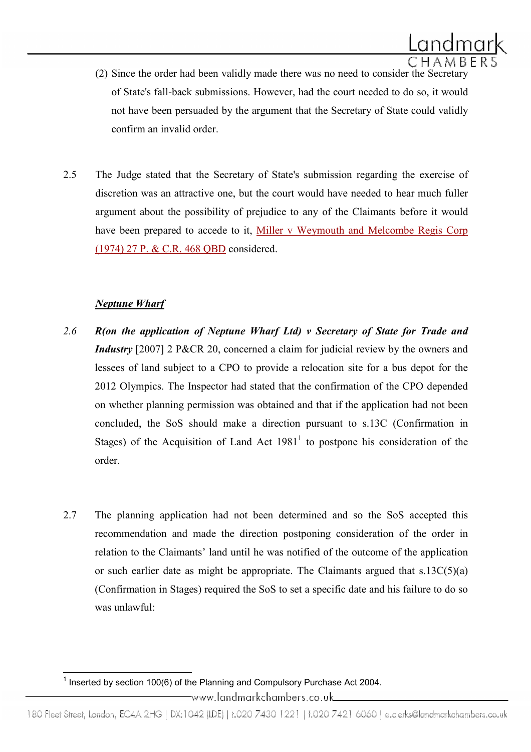

- (2) Since the order had been validly made there was no need to consider the Secretary of State's fall-back submissions. However, had the court needed to do so, it would not have been persuaded by the argument that the Secretary of State could validly confirm an invalid order.
- 2.5 The Judge stated that the Secretary of State's submission regarding the exercise of discretion was an attractive one, but the court would have needed to hear much fuller argument about the possibility of prejudice to any of the Claimants before it would have been prepared to accede to it, Miller v Weymouth and Melcombe Regis Corp (1974) 27 P. & C.R. 468 QBD considered.

### **Neptune Wharf**

l

- 2.6 R(on the application of Neptune Wharf Ltd) v Secretary of State for Trade and Industry [2007] 2 P&CR 20, concerned a claim for judicial review by the owners and lessees of land subject to a CPO to provide a relocation site for a bus depot for the 2012 Olympics. The Inspector had stated that the confirmation of the CPO depended on whether planning permission was obtained and that if the application had not been concluded, the SoS should make a direction pursuant to s.13C (Confirmation in Stages) of the Acquisition of Land Act  $1981<sup>1</sup>$  to postpone his consideration of the order.
- 2.7 The planning application had not been determined and so the SoS accepted this recommendation and made the direction postponing consideration of the order in relation to the Claimants' land until he was notified of the outcome of the application or such earlier date as might be appropriate. The Claimants argued that  $s.13C(5)(a)$ (Confirmation in Stages) required the SoS to set a specific date and his failure to do so was unlawful:

<sup>&</sup>lt;sup>1</sup> Inserted by section 100(6) of the Planning and Compulsory Purchase Act 2004. www.landmarkchambers.co.uk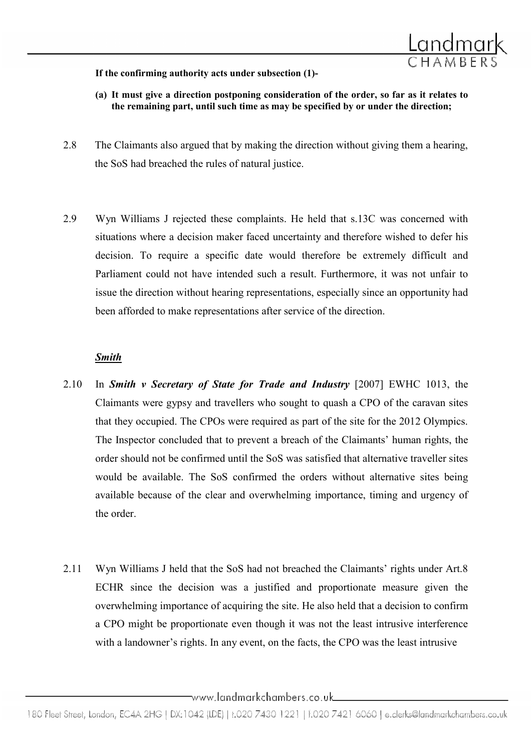

#### If the confirming authority acts under subsection (1)-

- (a) It must give a direction postponing consideration of the order, so far as it relates to the remaining part, until such time as may be specified by or under the direction;
- 2.8 The Claimants also argued that by making the direction without giving them a hearing, the SoS had breached the rules of natural justice.
- 2.9 Wyn Williams J rejected these complaints. He held that s.13C was concerned with situations where a decision maker faced uncertainty and therefore wished to defer his decision. To require a specific date would therefore be extremely difficult and Parliament could not have intended such a result. Furthermore, it was not unfair to issue the direction without hearing representations, especially since an opportunity had been afforded to make representations after service of the direction.

### Smith

- 2.10 In Smith v Secretary of State for Trade and Industry [2007] EWHC 1013, the Claimants were gypsy and travellers who sought to quash a CPO of the caravan sites that they occupied. The CPOs were required as part of the site for the 2012 Olympics. The Inspector concluded that to prevent a breach of the Claimants' human rights, the order should not be confirmed until the SoS was satisfied that alternative traveller sites would be available. The SoS confirmed the orders without alternative sites being available because of the clear and overwhelming importance, timing and urgency of the order.
- 2.11 Wyn Williams J held that the SoS had not breached the Claimants' rights under Art.8 ECHR since the decision was a justified and proportionate measure given the overwhelming importance of acquiring the site. He also held that a decision to confirm a CPO might be proportionate even though it was not the least intrusive interference with a landowner's rights. In any event, on the facts, the CPO was the least intrusive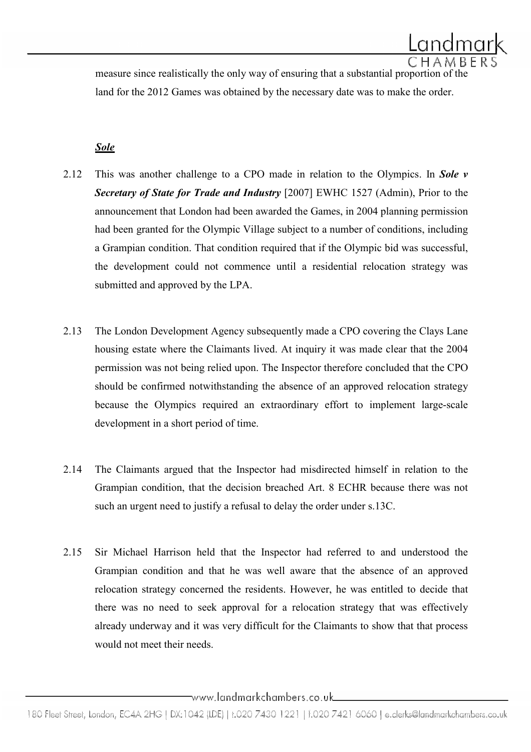measure since realistically the only way of ensuring that a substantial proportion of the land for the 2012 Games was obtained by the necessary date was to make the order.

# Sole

- 2.12 This was another challenge to a CPO made in relation to the Olympics. In Sole  $\nu$ Secretary of State for Trade and Industry [2007] EWHC 1527 (Admin), Prior to the announcement that London had been awarded the Games, in 2004 planning permission had been granted for the Olympic Village subject to a number of conditions, including a Grampian condition. That condition required that if the Olympic bid was successful, the development could not commence until a residential relocation strategy was submitted and approved by the LPA.
- 2.13 The London Development Agency subsequently made a CPO covering the Clays Lane housing estate where the Claimants lived. At inquiry it was made clear that the 2004 permission was not being relied upon. The Inspector therefore concluded that the CPO should be confirmed notwithstanding the absence of an approved relocation strategy because the Olympics required an extraordinary effort to implement large-scale development in a short period of time.
- 2.14 The Claimants argued that the Inspector had misdirected himself in relation to the Grampian condition, that the decision breached Art. 8 ECHR because there was not such an urgent need to justify a refusal to delay the order under s.13C.
- 2.15 Sir Michael Harrison held that the Inspector had referred to and understood the Grampian condition and that he was well aware that the absence of an approved relocation strategy concerned the residents. However, he was entitled to decide that there was no need to seek approval for a relocation strategy that was effectively already underway and it was very difficult for the Claimants to show that that process would not meet their needs.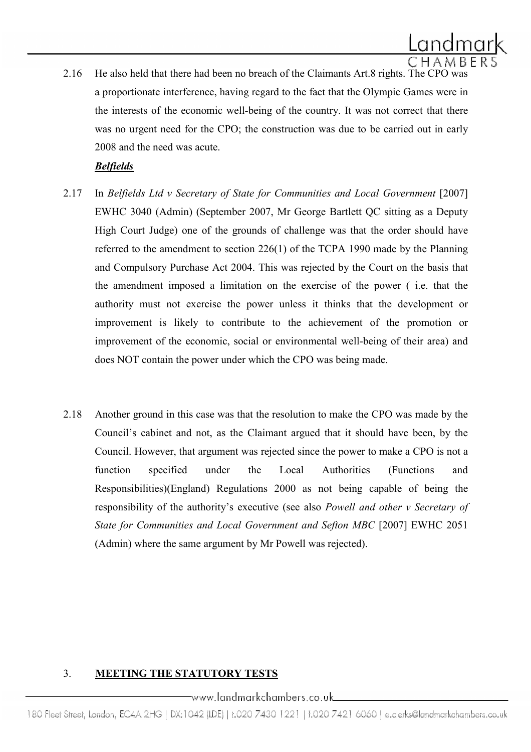2.16 He also held that there had been no breach of the Claimants Art.8 rights. The CPO was a proportionate interference, having regard to the fact that the Olympic Games were in the interests of the economic well-being of the country. It was not correct that there was no urgent need for the CPO; the construction was due to be carried out in early 2008 and the need was acute.

# Belfields

- 2.17 In Belfields Ltd v Secretary of State for Communities and Local Government [2007] EWHC 3040 (Admin) (September 2007, Mr George Bartlett QC sitting as a Deputy High Court Judge) one of the grounds of challenge was that the order should have referred to the amendment to section 226(1) of the TCPA 1990 made by the Planning and Compulsory Purchase Act 2004. This was rejected by the Court on the basis that the amendment imposed a limitation on the exercise of the power ( i.e. that the authority must not exercise the power unless it thinks that the development or improvement is likely to contribute to the achievement of the promotion or improvement of the economic, social or environmental well-being of their area) and does NOT contain the power under which the CPO was being made.
- 2.18 Another ground in this case was that the resolution to make the CPO was made by the Council's cabinet and not, as the Claimant argued that it should have been, by the Council. However, that argument was rejected since the power to make a CPO is not a function specified under the Local Authorities (Functions and Responsibilities)(England) Regulations 2000 as not being capable of being the responsibility of the authority's executive (see also Powell and other v Secretary of State for Communities and Local Government and Sefton MBC [2007] EWHC 2051 (Admin) where the same argument by Mr Powell was rejected).

# 3. MEETING THE STATUTORY TESTS

# \_www.landmarkchambers.co.uk\_

180 Fleet Street, London, EC4A 2HG | DX:1042 (LDE) | t.020 7430 1221 | f.020 7421 6060 | e.clerks@landmarkchambers.co.uk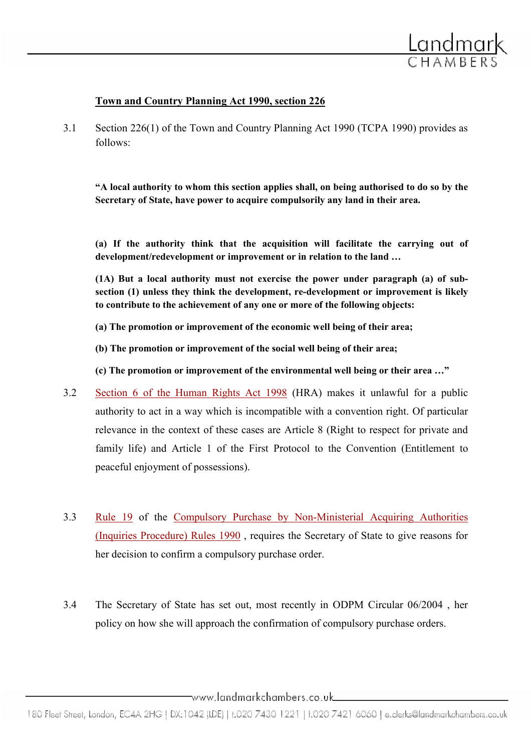

### Town and Country Planning Act 1990, section 226

3.1 Section 226(1) of the Town and Country Planning Act 1990 (TCPA 1990) provides as follows:

"A local authority to whom this section applies shall, on being authorised to do so by the Secretary of State, have power to acquire compulsorily any land in their area.

(a) If the authority think that the acquisition will facilitate the carrying out of development/redevelopment or improvement or in relation to the land …

(1A) But a local authority must not exercise the power under paragraph (a) of subsection (1) unless they think the development, re-development or improvement is likely to contribute to the achievement of any one or more of the following objects:

(a) The promotion or improvement of the economic well being of their area;

(b) The promotion or improvement of the social well being of their area;

(c) The promotion or improvement of the environmental well being or their area …"

- 3.2 Section 6 of the Human Rights Act 1998 (HRA) makes it unlawful for a public authority to act in a way which is incompatible with a convention right. Of particular relevance in the context of these cases are Article 8 (Right to respect for private and family life) and Article 1 of the First Protocol to the Convention (Entitlement to peaceful enjoyment of possessions).
- 3.3 Rule 19 of the Compulsory Purchase by Non-Ministerial Acquiring Authorities (Inquiries Procedure) Rules 1990 , requires the Secretary of State to give reasons for her decision to confirm a compulsory purchase order.
- 3.4 The Secretary of State has set out, most recently in ODPM Circular 06/2004 , her policy on how she will approach the confirmation of compulsory purchase orders.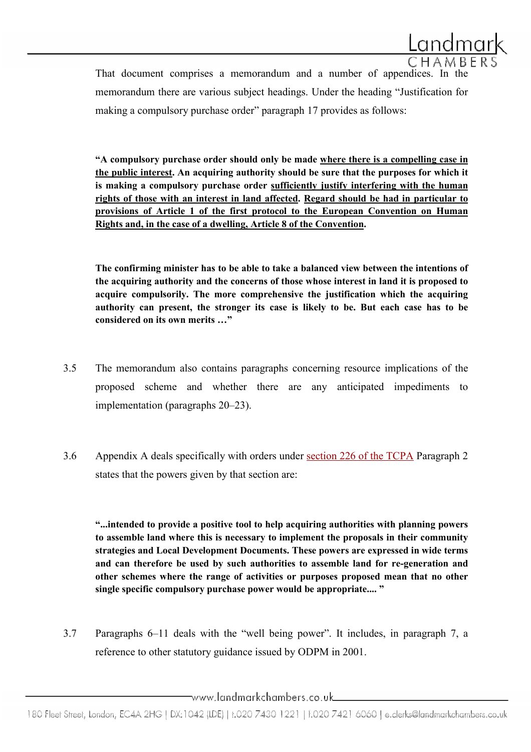

That document comprises a memorandum and a number of appendices. In the memorandum there are various subject headings. Under the heading "Justification for making a compulsory purchase order" paragraph 17 provides as follows:

"A compulsory purchase order should only be made where there is a compelling case in the public interest. An acquiring authority should be sure that the purposes for which it is making a compulsory purchase order sufficiently justify interfering with the human rights of those with an interest in land affected. Regard should be had in particular to provisions of Article 1 of the first protocol to the European Convention on Human Rights and, in the case of a dwelling, Article 8 of the Convention.

The confirming minister has to be able to take a balanced view between the intentions of the acquiring authority and the concerns of those whose interest in land it is proposed to acquire compulsorily. The more comprehensive the justification which the acquiring authority can present, the stronger its case is likely to be. But each case has to be considered on its own merits …"

- 3.5 The memorandum also contains paragraphs concerning resource implications of the proposed scheme and whether there are any anticipated impediments to implementation (paragraphs 20–23).
- 3.6 Appendix A deals specifically with orders under section 226 of the TCPA Paragraph 2 states that the powers given by that section are:

"...intended to provide a positive tool to help acquiring authorities with planning powers to assemble land where this is necessary to implement the proposals in their community strategies and Local Development Documents. These powers are expressed in wide terms and can therefore be used by such authorities to assemble land for re-generation and other schemes where the range of activities or purposes proposed mean that no other single specific compulsory purchase power would be appropriate.... "

3.7 Paragraphs 6–11 deals with the "well being power". It includes, in paragraph 7, a reference to other statutory guidance issued by ODPM in 2001.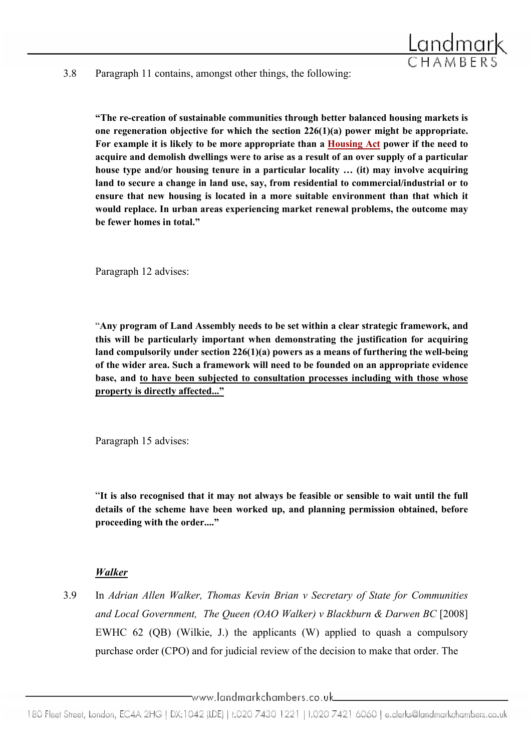

#### 3.8 Paragraph 11 contains, amongst other things, the following:

"The re-creation of sustainable communities through better balanced housing markets is one regeneration objective for which the section 226(1)(a) power might be appropriate. For example it is likely to be more appropriate than a Housing Act power if the need to acquire and demolish dwellings were to arise as a result of an over supply of a particular house type and/or housing tenure in a particular locality ... (it) may involve acquiring land to secure a change in land use, say, from residential to commercial/industrial or to ensure that new housing is located in a more suitable environment than that which it would replace. In urban areas experiencing market renewal problems, the outcome may be fewer homes in total."

Paragraph 12 advises:

"Any program of Land Assembly needs to be set within a clear strategic framework, and this will be particularly important when demonstrating the justification for acquiring land compulsorily under section 226(1)(a) powers as a means of furthering the well-being of the wider area. Such a framework will need to be founded on an appropriate evidence base, and to have been subjected to consultation processes including with those whose property is directly affected..."

Paragraph 15 advises:

"It is also recognised that it may not always be feasible or sensible to wait until the full details of the scheme have been worked up, and planning permission obtained, before proceeding with the order...."

### Walker

3.9 In Adrian Allen Walker, Thomas Kevin Brian v Secretary of State for Communities and Local Government, The Queen (OAO Walker) v Blackburn & Darwen BC [2008] EWHC 62 (QB) (Wilkie, J.) the applicants (W) applied to quash a compulsory purchase order (CPO) and for judicial review of the decision to make that order. The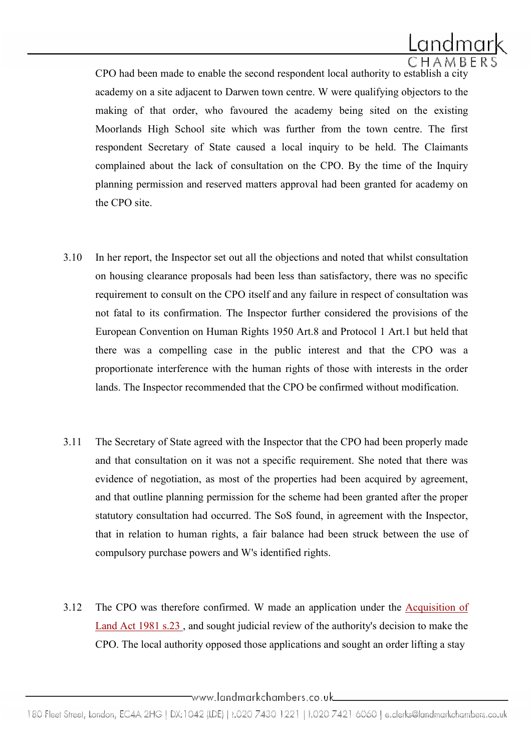

 CPO had been made to enable the second respondent local authority to establish a city academy on a site adjacent to Darwen town centre. W were qualifying objectors to the making of that order, who favoured the academy being sited on the existing Moorlands High School site which was further from the town centre. The first respondent Secretary of State caused a local inquiry to be held. The Claimants complained about the lack of consultation on the CPO. By the time of the Inquiry planning permission and reserved matters approval had been granted for academy on the CPO site.

- 3.10 In her report, the Inspector set out all the objections and noted that whilst consultation on housing clearance proposals had been less than satisfactory, there was no specific requirement to consult on the CPO itself and any failure in respect of consultation was not fatal to its confirmation. The Inspector further considered the provisions of the European Convention on Human Rights 1950 Art.8 and Protocol 1 Art.1 but held that there was a compelling case in the public interest and that the CPO was a proportionate interference with the human rights of those with interests in the order lands. The Inspector recommended that the CPO be confirmed without modification.
- 3.11 The Secretary of State agreed with the Inspector that the CPO had been properly made and that consultation on it was not a specific requirement. She noted that there was evidence of negotiation, as most of the properties had been acquired by agreement, and that outline planning permission for the scheme had been granted after the proper statutory consultation had occurred. The SoS found, in agreement with the Inspector, that in relation to human rights, a fair balance had been struck between the use of compulsory purchase powers and W's identified rights.
- 3.12 The CPO was therefore confirmed. W made an application under the Acquisition of Land Act 1981 s.23 , and sought judicial review of the authority's decision to make the CPO. The local authority opposed those applications and sought an order lifting a stay

 $\neg$ www.landmarkchambers.co.uk $\Box$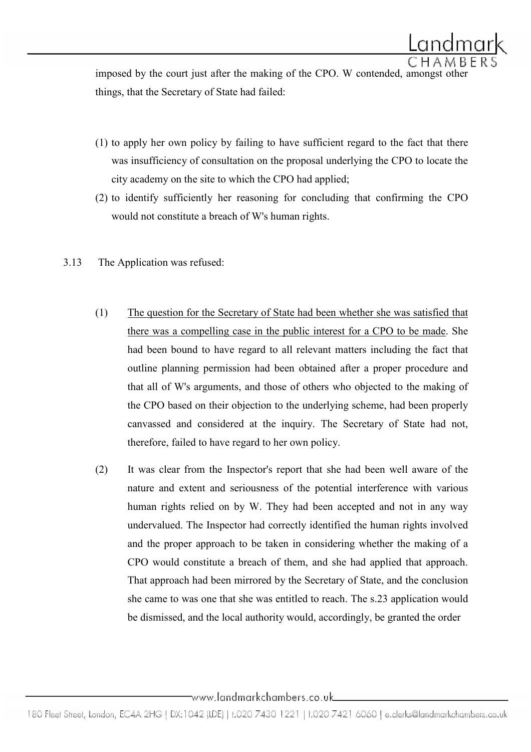imposed by the court just after the making of the CPO. W contended, amongst other things, that the Secretary of State had failed:

- (1) to apply her own policy by failing to have sufficient regard to the fact that there was insufficiency of consultation on the proposal underlying the CPO to locate the city academy on the site to which the CPO had applied;
- (2) to identify sufficiently her reasoning for concluding that confirming the CPO would not constitute a breach of W's human rights.
- 3.13 The Application was refused:
	- (1) The question for the Secretary of State had been whether she was satisfied that there was a compelling case in the public interest for a CPO to be made. She had been bound to have regard to all relevant matters including the fact that outline planning permission had been obtained after a proper procedure and that all of W's arguments, and those of others who objected to the making of the CPO based on their objection to the underlying scheme, had been properly canvassed and considered at the inquiry. The Secretary of State had not, therefore, failed to have regard to her own policy.
	- (2) It was clear from the Inspector's report that she had been well aware of the nature and extent and seriousness of the potential interference with various human rights relied on by W. They had been accepted and not in any way undervalued. The Inspector had correctly identified the human rights involved and the proper approach to be taken in considering whether the making of a CPO would constitute a breach of them, and she had applied that approach. That approach had been mirrored by the Secretary of State, and the conclusion she came to was one that she was entitled to reach. The s.23 application would be dismissed, and the local authority would, accordingly, be granted the order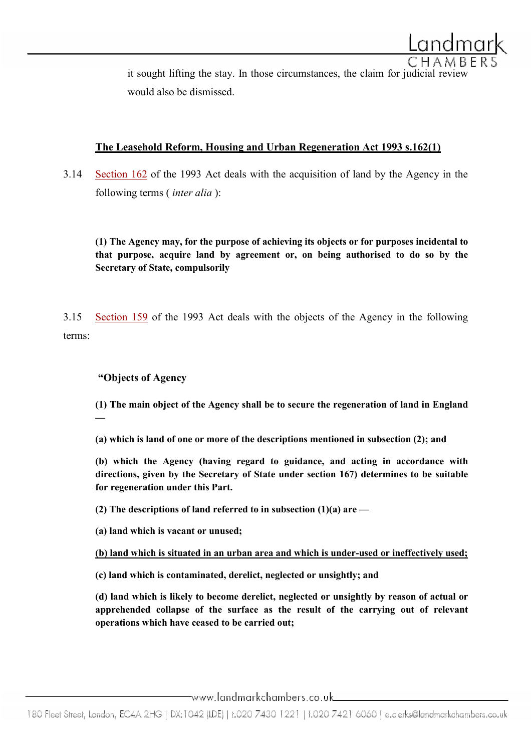

it sought lifting the stay. In those circumstances, the claim for judicial review would also be dismissed.

# The Leasehold Reform, Housing and Urban Regeneration Act 1993 s.162(1)

3.14 Section 162 of the 1993 Act deals with the acquisition of land by the Agency in the following terms (*inter alia*):

(1) The Agency may, for the purpose of achieving its objects or for purposes incidental to that purpose, acquire land by agreement or, on being authorised to do so by the Secretary of State, compulsorily

3.15 Section 159 of the 1993 Act deals with the objects of the Agency in the following terms:

### "Objects of Agency

(1) The main object of the Agency shall be to secure the regeneration of land in England —

(a) which is land of one or more of the descriptions mentioned in subsection (2); and

(b) which the Agency (having regard to guidance, and acting in accordance with directions, given by the Secretary of State under section 167) determines to be suitable for regeneration under this Part.

(2) The descriptions of land referred to in subsection  $(1)(a)$  are —

(a) land which is vacant or unused;

(b) land which is situated in an urban area and which is under-used or ineffectively used;

(c) land which is contaminated, derelict, neglected or unsightly; and

(d) land which is likely to become derelict, neglected or unsightly by reason of actual or apprehended collapse of the surface as the result of the carrying out of relevant operations which have ceased to be carried out;

 $\equiv$ www.landmarkchambers.co.uk $\equiv$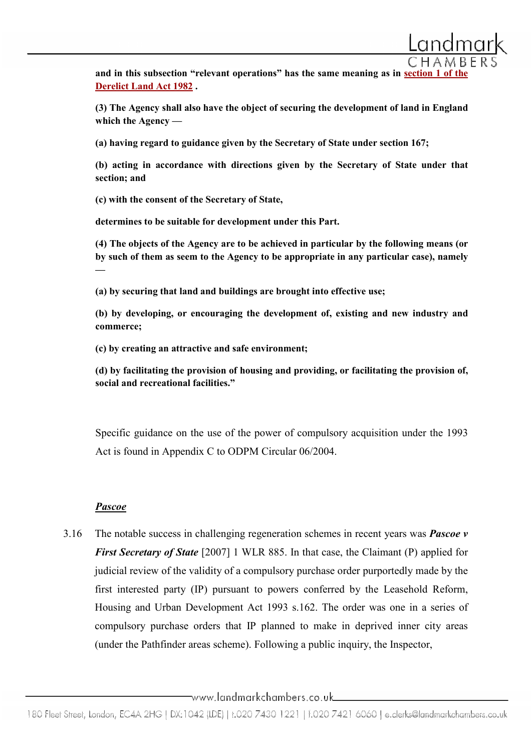and in this subsection "relevant operations" has the same meaning as in section 1 Derelict Land Act 1982 .

(3) The Agency shall also have the object of securing the development of land in England which the Agency —

(a) having regard to guidance given by the Secretary of State under section 167;

(b) acting in accordance with directions given by the Secretary of State under that section; and

(c) with the consent of the Secretary of State,

determines to be suitable for development under this Part.

(4) The objects of the Agency are to be achieved in particular by the following means (or by such of them as seem to the Agency to be appropriate in any particular case), namely —

(a) by securing that land and buildings are brought into effective use;

(b) by developing, or encouraging the development of, existing and new industry and commerce;

(c) by creating an attractive and safe environment;

(d) by facilitating the provision of housing and providing, or facilitating the provision of, social and recreational facilities."

Specific guidance on the use of the power of compulsory acquisition under the 1993 Act is found in Appendix C to ODPM Circular 06/2004.

### Pascoe

3.16 The notable success in challenging regeneration schemes in recent years was **Pascoe**  $v$ First Secretary of State [2007] 1 WLR 885. In that case, the Claimant (P) applied for judicial review of the validity of a compulsory purchase order purportedly made by the first interested party (IP) pursuant to powers conferred by the Leasehold Reform, Housing and Urban Development Act 1993 s.162. The order was one in a series of compulsory purchase orders that IP planned to make in deprived inner city areas (under the Pathfinder areas scheme). Following a public inquiry, the Inspector,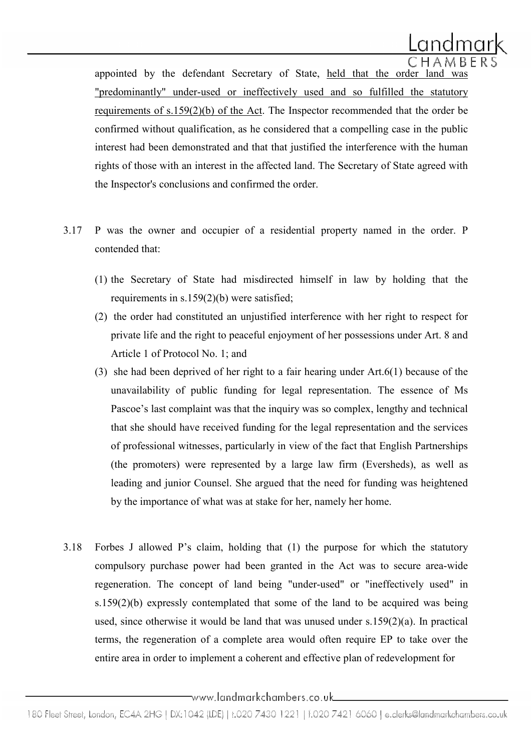

appointed by the defendant Secretary of State, held that the order land was "predominantly" under-used or ineffectively used and so fulfilled the statutory requirements of s.159(2)(b) of the Act. The Inspector recommended that the order be confirmed without qualification, as he considered that a compelling case in the public interest had been demonstrated and that that justified the interference with the human rights of those with an interest in the affected land. The Secretary of State agreed with the Inspector's conclusions and confirmed the order.

- 3.17 P was the owner and occupier of a residential property named in the order. P contended that:
	- (1) the Secretary of State had misdirected himself in law by holding that the requirements in s.159(2)(b) were satisfied;
	- (2) the order had constituted an unjustified interference with her right to respect for private life and the right to peaceful enjoyment of her possessions under Art. 8 and Article 1 of Protocol No. 1; and
	- (3) she had been deprived of her right to a fair hearing under Art.6(1) because of the unavailability of public funding for legal representation. The essence of Ms Pascoe's last complaint was that the inquiry was so complex, lengthy and technical that she should have received funding for the legal representation and the services of professional witnesses, particularly in view of the fact that English Partnerships (the promoters) were represented by a large law firm (Eversheds), as well as leading and junior Counsel. She argued that the need for funding was heightened by the importance of what was at stake for her, namely her home.
- 3.18 Forbes J allowed P's claim, holding that (1) the purpose for which the statutory compulsory purchase power had been granted in the Act was to secure area-wide regeneration. The concept of land being "under-used" or "ineffectively used" in s.159(2)(b) expressly contemplated that some of the land to be acquired was being used, since otherwise it would be land that was unused under s.159(2)(a). In practical terms, the regeneration of a complete area would often require EP to take over the entire area in order to implement a coherent and effective plan of redevelopment for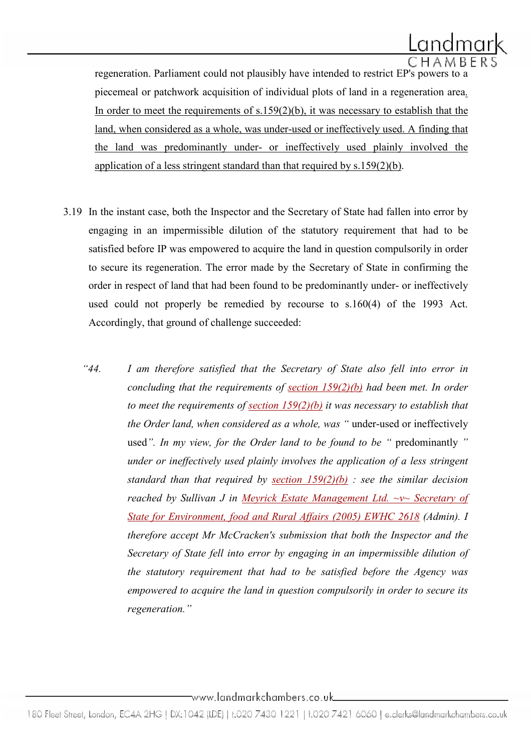

regeneration. Parliament could not plausibly have intended to restrict EP's powers to a piecemeal or patchwork acquisition of individual plots of land in a regeneration area. In order to meet the requirements of  $s.159(2)(b)$ , it was necessary to establish that the land, when considered as a whole, was under-used or ineffectively used. A finding that the land was predominantly under- or ineffectively used plainly involved the application of a less stringent standard than that required by  $s.159(2)(b)$ .

- 3.19 In the instant case, both the Inspector and the Secretary of State had fallen into error by engaging in an impermissible dilution of the statutory requirement that had to be satisfied before IP was empowered to acquire the land in question compulsorily in order to secure its regeneration. The error made by the Secretary of State in confirming the order in respect of land that had been found to be predominantly under- or ineffectively used could not properly be remedied by recourse to s.160(4) of the 1993 Act. Accordingly, that ground of challenge succeeded:
	- "44. I am therefore satisfied that the Secretary of State also fell into error in concluding that the requirements of section  $159(2)(b)$  had been met. In order to meet the requirements of section  $159(2)(b)$  it was necessary to establish that the Order land, when considered as a whole, was " under-used or ineffectively used". In my view, for the Order land to be found to be " predominantly " under or ineffectively used plainly involves the application of a less stringent standard than that required by section  $159(2)(b)$ : see the similar decision reached by Sullivan J in Meyrick Estate Management Ltd. ~v~ Secretary of State for Environment, food and Rural Affairs (2005) EWHC 2618 (Admin). I therefore accept Mr McCracken's submission that both the Inspector and the Secretary of State fell into error by engaging in an impermissible dilution of the statutory requirement that had to be satisfied before the Agency was empowered to acquire the land in question compulsorily in order to secure its regeneration."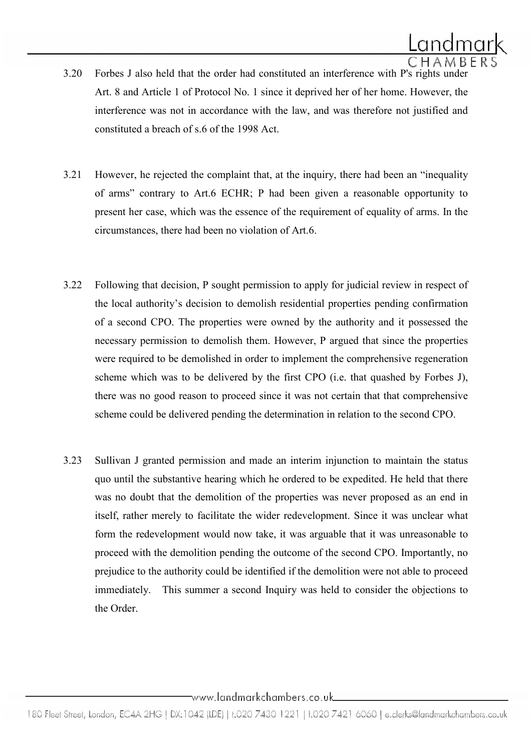- 3.20 Forbes J also held that the order had constituted an interference with P's rights under Art. 8 and Article 1 of Protocol No. 1 since it deprived her of her home. However, the interference was not in accordance with the law, and was therefore not justified and constituted a breach of s.6 of the 1998 Act.
- 3.21 However, he rejected the complaint that, at the inquiry, there had been an "inequality of arms" contrary to Art.6 ECHR; P had been given a reasonable opportunity to present her case, which was the essence of the requirement of equality of arms. In the circumstances, there had been no violation of Art.6.
- 3.22 Following that decision, P sought permission to apply for judicial review in respect of the local authority's decision to demolish residential properties pending confirmation of a second CPO. The properties were owned by the authority and it possessed the necessary permission to demolish them. However, P argued that since the properties were required to be demolished in order to implement the comprehensive regeneration scheme which was to be delivered by the first CPO (i.e. that quashed by Forbes J), there was no good reason to proceed since it was not certain that that comprehensive scheme could be delivered pending the determination in relation to the second CPO.
- 3.23 Sullivan J granted permission and made an interim injunction to maintain the status quo until the substantive hearing which he ordered to be expedited. He held that there was no doubt that the demolition of the properties was never proposed as an end in itself, rather merely to facilitate the wider redevelopment. Since it was unclear what form the redevelopment would now take, it was arguable that it was unreasonable to proceed with the demolition pending the outcome of the second CPO. Importantly, no prejudice to the authority could be identified if the demolition were not able to proceed immediately. This summer a second Inquiry was held to consider the objections to the Order.

<sup>180</sup> Fleet Street, London, EC4A 2HG | DX:1042 (IDE) | t.020 7430 1221 | f.020 7421 6060 | e.clerks@landmarkchambers.co.uk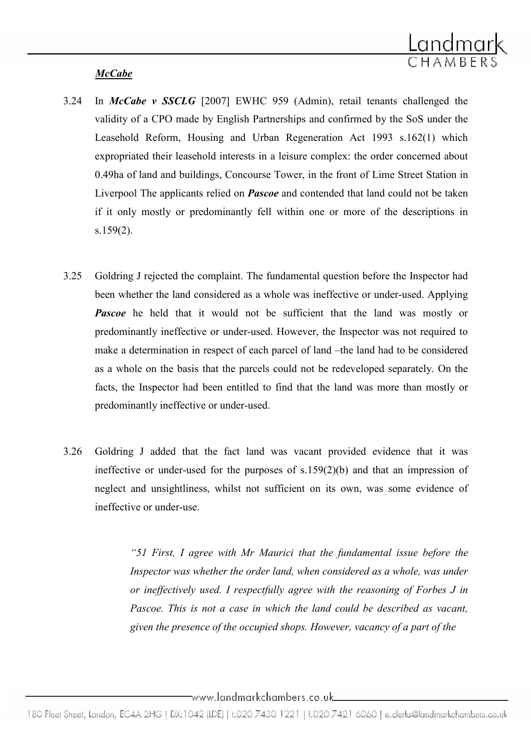

# **McCabe**

- 3.24 In *McCabe v SSCLG* [2007] EWHC 959 (Admin), retail tenants challenged the validity of a CPO made by English Partnerships and confirmed by the SoS under the Leasehold Reform, Housing and Urban Regeneration Act 1993 s.162(1) which expropriated their leasehold interests in a leisure complex: the order concerned about 0.49ha of land and buildings, Concourse Tower, in the front of Lime Street Station in Liverpool The applicants relied on **Pascoe** and contended that land could not be taken if it only mostly or predominantly fell within one or more of the descriptions in s.159(2).
- 3.25 Goldring J rejected the complaint. The fundamental question before the Inspector had been whether the land considered as a whole was ineffective or under-used. Applying **Pascoe** he held that it would not be sufficient that the land was mostly or predominantly ineffective or under-used. However, the Inspector was not required to make a determination in respect of each parcel of land –the land had to be considered as a whole on the basis that the parcels could not be redeveloped separately. On the facts, the Inspector had been entitled to find that the land was more than mostly or predominantly ineffective or under-used.
- 3.26 Goldring J added that the fact land was vacant provided evidence that it was ineffective or under-used for the purposes of s.159(2)(b) and that an impression of neglect and unsightliness, whilst not sufficient on its own, was some evidence of ineffective or under-use.

"51 First, I agree with Mr Maurici that the fundamental issue before the Inspector was whether the order land, when considered as a whole, was under or ineffectively used. I respectfully agree with the reasoning of Forbes J in Pascoe. This is not a case in which the land could be described as vacant, given the presence of the occupied shops. However, vacancy of a part of the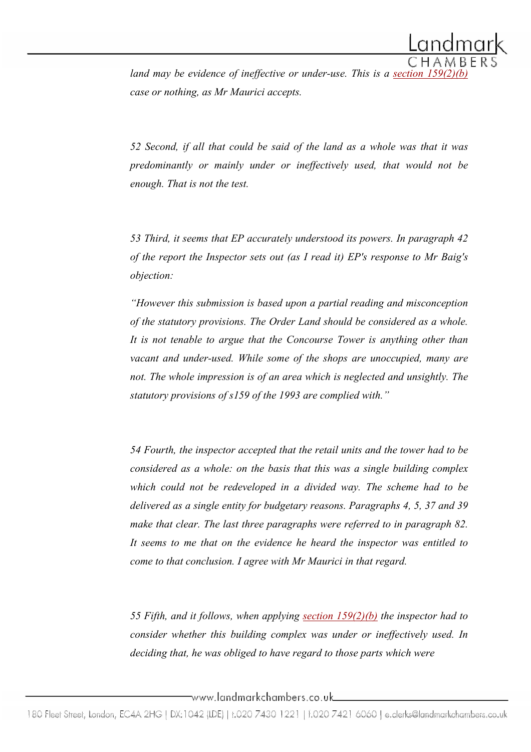land may be evidence of ineffective or under-use. This is a section  $159$ case or nothing, as Mr Maurici accepts.

52 Second, if all that could be said of the land as a whole was that it was predominantly or mainly under or ineffectively used, that would not be enough. That is not the test.

53 Third, it seems that EP accurately understood its powers. In paragraph 42 of the report the Inspector sets out (as I read it) EP's response to Mr Baig's objection:

"However this submission is based upon a partial reading and misconception of the statutory provisions. The Order Land should be considered as a whole. It is not tenable to argue that the Concourse Tower is anything other than vacant and under-used. While some of the shops are unoccupied, many are not. The whole impression is of an area which is neglected and unsightly. The statutory provisions of s159 of the 1993 are complied with."

54 Fourth, the inspector accepted that the retail units and the tower had to be considered as a whole: on the basis that this was a single building complex which could not be redeveloped in a divided way. The scheme had to be delivered as a single entity for budgetary reasons. Paragraphs 4, 5, 37 and 39 make that clear. The last three paragraphs were referred to in paragraph 82. It seems to me that on the evidence he heard the inspector was entitled to come to that conclusion. I agree with Mr Maurici in that regard.

55 Fifth, and it follows, when applying section  $159(2)(b)$  the inspector had to consider whether this building complex was under or ineffectively used. In deciding that, he was obliged to have regard to those parts which were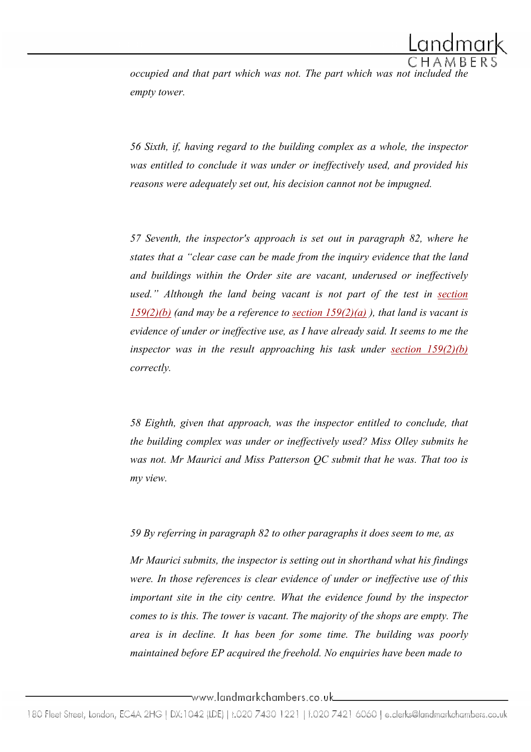

occupied and that part which was not. The part which was not included the empty tower.

56 Sixth, if, having regard to the building complex as a whole, the inspector was entitled to conclude it was under or ineffectively used, and provided his reasons were adequately set out, his decision cannot not be impugned.

57 Seventh, the inspector's approach is set out in paragraph 82, where he states that a "clear case can be made from the inquiry evidence that the land and buildings within the Order site are vacant, underused or ineffectively used." Although the land being vacant is not part of the test in section  $159(2)(b)$  (and may be a reference to section  $159(2)(a)$ ), that land is vacant is evidence of under or ineffective use, as I have already said. It seems to me the inspector was in the result approaching his task under section  $159(2)(b)$ correctly.

58 Eighth, given that approach, was the inspector entitled to conclude, that the building complex was under or ineffectively used? Miss Olley submits he was not. Mr Maurici and Miss Patterson QC submit that he was. That too is my view.

59 By referring in paragraph 82 to other paragraphs it does seem to me, as

Mr Maurici submits, the inspector is setting out in shorthand what his findings were. In those references is clear evidence of under or ineffective use of this important site in the city centre. What the evidence found by the inspector comes to is this. The tower is vacant. The majority of the shops are empty. The area is in decline. It has been for some time. The building was poorly maintained before EP acquired the freehold. No enquiries have been made to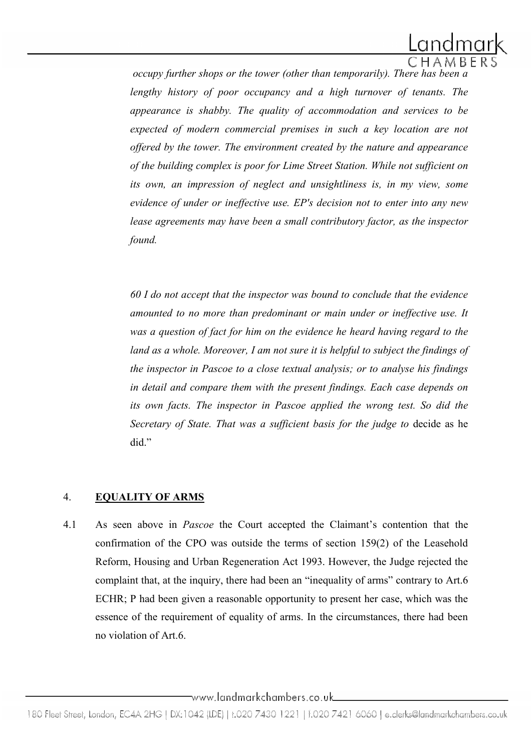

occupy further shops or the tower (other than temporarily). There has been a lengthy history of poor occupancy and a high turnover of tenants. The appearance is shabby. The quality of accommodation and services to be expected of modern commercial premises in such a key location are not offered by the tower. The environment created by the nature and appearance of the building complex is poor for Lime Street Station. While not sufficient on its own, an impression of neglect and unsightliness is, in my view, some evidence of under or ineffective use. EP's decision not to enter into any new lease agreements may have been a small contributory factor, as the inspector found.

60 I do not accept that the inspector was bound to conclude that the evidence amounted to no more than predominant or main under or ineffective use. It was a question of fact for him on the evidence he heard having regard to the land as a whole. Moreover, I am not sure it is helpful to subject the findings of the inspector in Pascoe to a close textual analysis; or to analyse his findings in detail and compare them with the present findings. Each case depends on its own facts. The inspector in Pascoe applied the wrong test. So did the Secretary of State. That was a sufficient basis for the judge to decide as he did."

# 4. EQUALITY OF ARMS

4.1 As seen above in Pascoe the Court accepted the Claimant's contention that the confirmation of the CPO was outside the terms of section 159(2) of the Leasehold Reform, Housing and Urban Regeneration Act 1993. However, the Judge rejected the complaint that, at the inquiry, there had been an "inequality of arms" contrary to Art.6 ECHR; P had been given a reasonable opportunity to present her case, which was the essence of the requirement of equality of arms. In the circumstances, there had been no violation of Art.6.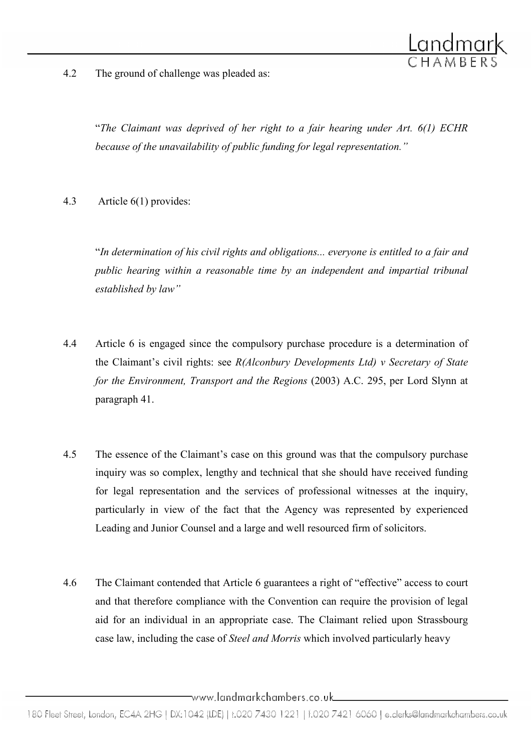

4.2 The ground of challenge was pleaded as:

"The Claimant was deprived of her right to a fair hearing under Art. 6(1) ECHR because of the unavailability of public funding for legal representation."

4.3 Article 6(1) provides:

"In determination of his civil rights and obligations... everyone is entitled to a fair and public hearing within a reasonable time by an independent and impartial tribunal established by law"

- 4.4 Article 6 is engaged since the compulsory purchase procedure is a determination of the Claimant's civil rights: see  $R(Alconbury Developments Ltd)$  v Secretary of State for the Environment, Transport and the Regions (2003) A.C. 295, per Lord Slynn at paragraph 41.
- 4.5 The essence of the Claimant's case on this ground was that the compulsory purchase inquiry was so complex, lengthy and technical that she should have received funding for legal representation and the services of professional witnesses at the inquiry, particularly in view of the fact that the Agency was represented by experienced Leading and Junior Counsel and a large and well resourced firm of solicitors.
- 4.6 The Claimant contended that Article 6 guarantees a right of "effective" access to court and that therefore compliance with the Convention can require the provision of legal aid for an individual in an appropriate case. The Claimant relied upon Strassbourg case law, including the case of Steel and Morris which involved particularly heavy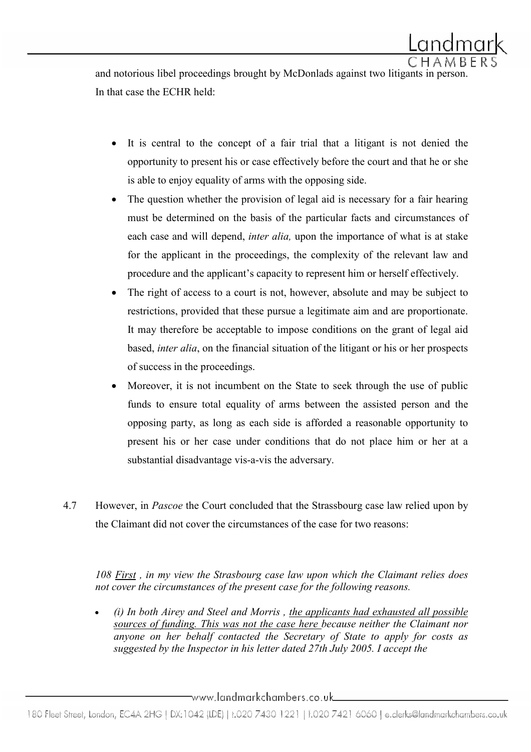and notorious libel proceedings brought by McDonlads against two litigants in person. In that case the ECHR held:

- It is central to the concept of a fair trial that a litigant is not denied the opportunity to present his or case effectively before the court and that he or she is able to enjoy equality of arms with the opposing side.
- The question whether the provision of legal aid is necessary for a fair hearing must be determined on the basis of the particular facts and circumstances of each case and will depend, *inter alia*, upon the importance of what is at stake for the applicant in the proceedings, the complexity of the relevant law and procedure and the applicant's capacity to represent him or herself effectively.
- The right of access to a court is not, however, absolute and may be subject to restrictions, provided that these pursue a legitimate aim and are proportionate. It may therefore be acceptable to impose conditions on the grant of legal aid based, inter alia, on the financial situation of the litigant or his or her prospects of success in the proceedings.
- Moreover, it is not incumbent on the State to seek through the use of public funds to ensure total equality of arms between the assisted person and the opposing party, as long as each side is afforded a reasonable opportunity to present his or her case under conditions that do not place him or her at a substantial disadvantage vis-a-vis the adversary.
- 4.7 However, in *Pascoe* the Court concluded that the Strassbourg case law relied upon by the Claimant did not cover the circumstances of the case for two reasons:

108 First , in my view the Strasbourg case law upon which the Claimant relies does not cover the circumstances of the present case for the following reasons.

• (i) In both Airey and Steel and Morris , the applicants had exhausted all possible sources of funding. This was not the case here because neither the Claimant nor anyone on her behalf contacted the Secretary of State to apply for costs as suggested by the Inspector in his letter dated 27th July 2005. I accept the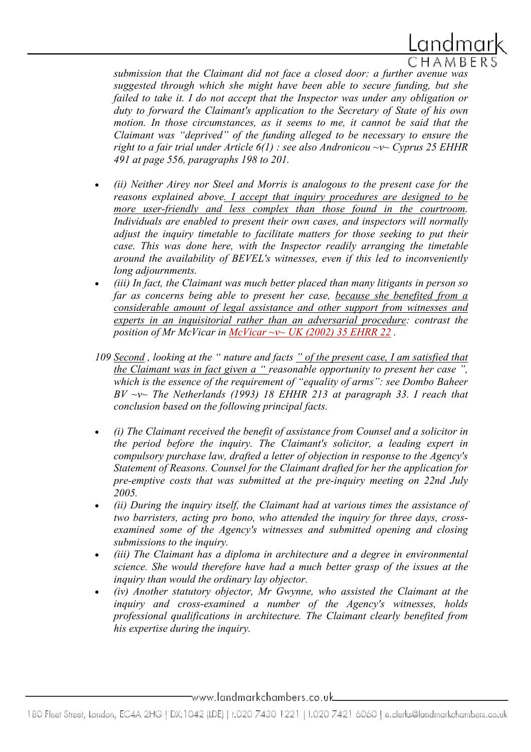

submission that the Claimant did not face a closed door: a further avenue was suggested through which she might have been able to secure funding, but she failed to take it. I do not accept that the Inspector was under any obligation or duty to forward the Claimant's application to the Secretary of State of his own motion. In those circumstances, as it seems to me, it cannot be said that the Claimant was "deprived" of the funding alleged to be necessary to ensure the right to a fair trial under Article  $6(1)$ : see also Andronicou ~v~ Cyprus 25 EHHR 491 at page 556, paragraphs 198 to 201.

- (ii) Neither Airey nor Steel and Morris is analogous to the present case for the reasons explained above. I accept that inquiry procedures are designed to be more user-friendly and less complex than those found in the courtroom. Individuals are enabled to present their own cases, and inspectors will normally adjust the inquiry timetable to facilitate matters for those seeking to put their case. This was done here, with the Inspector readily arranging the timetable around the availability of BEVEL's witnesses, even if this led to inconveniently long adjournments.
- (iii) In fact, the Claimant was much better placed than many litigants in person so far as concerns being able to present her case, because she benefited from a considerable amount of legal assistance and other support from witnesses and experts in an inquisitorial rather than an adversarial procedure: contrast the position of Mr McVicar in McVicar  $\sim$ v $\sim$  UK (2002) 35 EHRR 22.
- 109 Second, looking at the " nature and facts " of the present case, I am satisfied that the Claimant was in fact given  $a$  " reasonable opportunity to present her case ", which is the essence of the requirement of "equality of arms": see Dombo Baheer  $BV \sim v \sim$  The Netherlands (1993) 18 EHHR 213 at paragraph 33. I reach that conclusion based on the following principal facts.
- (i) The Claimant received the benefit of assistance from Counsel and a solicitor in the period before the inquiry. The Claimant's solicitor, a leading expert in compulsory purchase law, drafted a letter of objection in response to the Agency's Statement of Reasons. Counsel for the Claimant drafted for her the application for pre-emptive costs that was submitted at the pre-inquiry meeting on 22nd July 2005.
- (ii) During the inquiry itself, the Claimant had at various times the assistance of two barristers, acting pro bono, who attended the inquiry for three days, crossexamined some of the Agency's witnesses and submitted opening and closing submissions to the inquiry.
- (iii) The Claimant has a diploma in architecture and a degree in environmental science. She would therefore have had a much better grasp of the issues at the inquiry than would the ordinary lay objector.
- (iv) Another statutory objector, Mr Gwynne, who assisted the Claimant at the inquiry and cross-examined a number of the Agency's witnesses, holds professional qualifications in architecture. The Claimant clearly benefited from his expertise during the inquiry.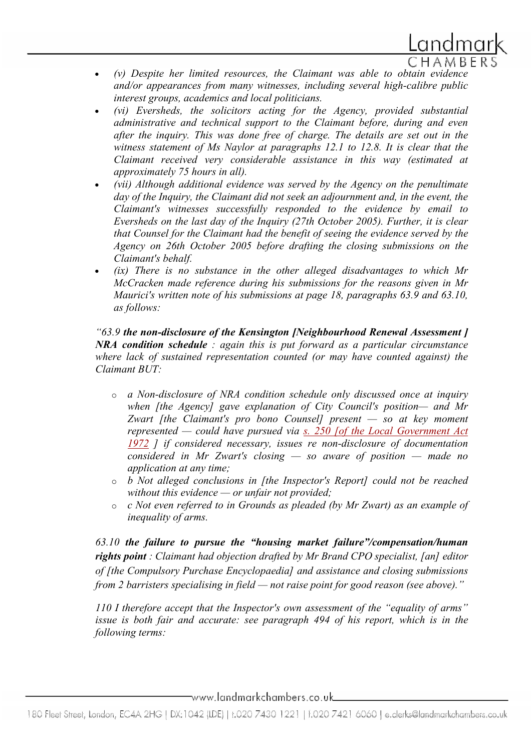

- (v) Despite her limited resources, the Claimant was able to obtain evidence and/or appearances from many witnesses, including several high-calibre public interest groups, academics and local politicians.
- (vi) Eversheds, the solicitors acting for the Agency, provided substantial administrative and technical support to the Claimant before, during and even after the inquiry. This was done free of charge. The details are set out in the witness statement of Ms Naylor at paragraphs 12.1 to 12.8. It is clear that the Claimant received very considerable assistance in this way (estimated at approximately 75 hours in all).
- (vii) Although additional evidence was served by the Agency on the penultimate day of the Inquiry, the Claimant did not seek an adjournment and, in the event, the Claimant's witnesses successfully responded to the evidence by email to Eversheds on the last day of the Inquiry (27th October 2005). Further, it is clear that Counsel for the Claimant had the benefit of seeing the evidence served by the Agency on 26th October 2005 before drafting the closing submissions on the Claimant's behalf.
- $(ix)$  There is no substance in the other alleged disadvantages to which Mr McCracken made reference during his submissions for the reasons given in Mr Maurici's written note of his submissions at page 18, paragraphs 63.9 and 63.10, as follows:

"63.9 the non-disclosure of the Kensington [Neighbourhood Renewal Assessment ]  $NRA$  condition schedule : again this is put forward as a particular circumstance where lack of sustained representation counted (or may have counted against) the Claimant BUT:

- o a Non-disclosure of NRA condition schedule only discussed once at inquiry when [the Agency] gave explanation of City Council's position— and Mr Zwart [the Claimant's pro bono Counsel] present  $-$  so at key moment represented — could have pursued via  $s$ . 250 [of the Local Government Act 1972 ] if considered necessary, issues re non-disclosure of documentation considered in Mr Zwart's closing  $-$  so aware of position  $-$  made no application at any time;
- o b Not alleged conclusions in [the Inspector's Report] could not be reached without this evidence  $-$  or unfair not provided;
- o c Not even referred to in Grounds as pleaded (by Mr Zwart) as an example of inequality of arms.

63.10 the failure to pursue the "housing market failure"/compensation/human rights point : Claimant had objection drafted by Mr Brand CPO specialist, [an] editor of [the Compulsory Purchase Encyclopaedia] and assistance and closing submissions from 2 barristers specialising in field — not raise point for good reason (see above)."

110 I therefore accept that the Inspector's own assessment of the "equality of arms" issue is both fair and accurate: see paragraph 494 of his report, which is in the following terms: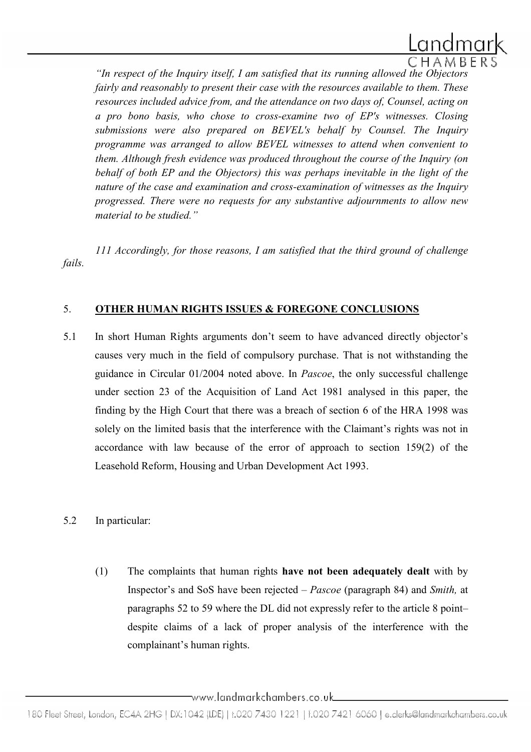

"In respect of the Inquiry itself, I am satisfied that its running allowed the Objectors fairly and reasonably to present their case with the resources available to them. These resources included advice from, and the attendance on two days of, Counsel, acting on a pro bono basis, who chose to cross-examine two of EP's witnesses. Closing submissions were also prepared on BEVEL's behalf by Counsel. The Inquiry programme was arranged to allow BEVEL witnesses to attend when convenient to them. Although fresh evidence was produced throughout the course of the Inquiry (on behalf of both EP and the Objectors) this was perhaps inevitable in the light of the nature of the case and examination and cross-examination of witnesses as the Inquiry progressed. There were no requests for any substantive adjournments to allow new material to be studied."

111 Accordingly, for those reasons, I am satisfied that the third ground of challenge fails.

### 5. OTHER HUMAN RIGHTS ISSUES & FOREGONE CONCLUSIONS

5.1 In short Human Rights arguments don't seem to have advanced directly objector's causes very much in the field of compulsory purchase. That is not withstanding the guidance in Circular 01/2004 noted above. In Pascoe, the only successful challenge under section 23 of the Acquisition of Land Act 1981 analysed in this paper, the finding by the High Court that there was a breach of section 6 of the HRA 1998 was solely on the limited basis that the interference with the Claimant's rights was not in accordance with law because of the error of approach to section 159(2) of the Leasehold Reform, Housing and Urban Development Act 1993.

# 5.2 In particular:

(1) The complaints that human rights have not been adequately dealt with by Inspector's and SoS have been rejected – Pascoe (paragraph 84) and Smith, at paragraphs 52 to 59 where the DL did not expressly refer to the article 8 point– despite claims of a lack of proper analysis of the interference with the complainant's human rights.

<sup>180</sup> Fleet Street, London, EC4A 2HG | DX:1042 (IDE) | t.020 7430 1221 | f.020 7421 6060 | e.clerks@landmarkchambers.co.uk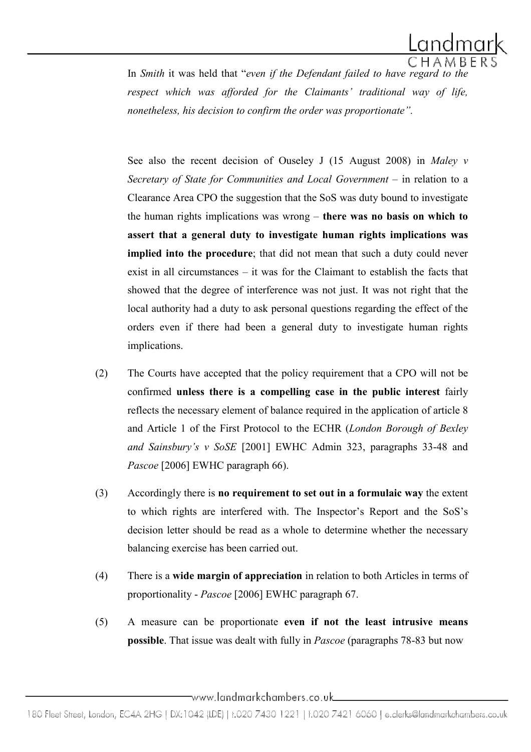

In Smith it was held that "even if the Defendant failed to have regard to the respect which was afforded for the Claimants' traditional way of life, nonetheless, his decision to confirm the order was proportionate".

See also the recent decision of Ouseley J (15 August 2008) in Maley  $\nu$ Secretary of State for Communities and Local Government – in relation to a Clearance Area CPO the suggestion that the SoS was duty bound to investigate the human rights implications was wrong – there was no basis on which to assert that a general duty to investigate human rights implications was implied into the procedure; that did not mean that such a duty could never exist in all circumstances – it was for the Claimant to establish the facts that showed that the degree of interference was not just. It was not right that the local authority had a duty to ask personal questions regarding the effect of the orders even if there had been a general duty to investigate human rights implications.

- (2) The Courts have accepted that the policy requirement that a CPO will not be confirmed unless there is a compelling case in the public interest fairly reflects the necessary element of balance required in the application of article 8 and Article 1 of the First Protocol to the ECHR (London Borough of Bexley and Sainsbury's v SoSE [2001] EWHC Admin 323, paragraphs 33-48 and Pascoe [2006] EWHC paragraph 66).
- (3) Accordingly there is no requirement to set out in a formulaic way the extent to which rights are interfered with. The Inspector's Report and the SoS's decision letter should be read as a whole to determine whether the necessary balancing exercise has been carried out.
- (4) There is a wide margin of appreciation in relation to both Articles in terms of proportionality - Pascoe [2006] EWHC paragraph 67.
- (5) A measure can be proportionate even if not the least intrusive means possible. That issue was dealt with fully in Pascoe (paragraphs 78-83 but now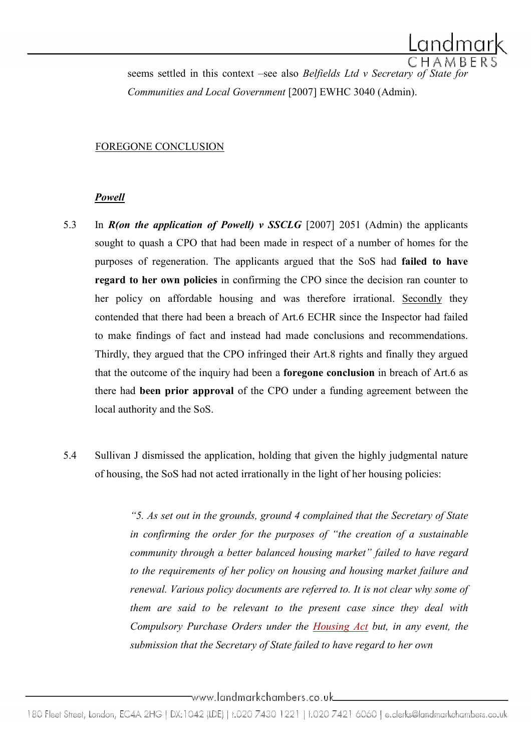seems settled in this context –see also Belfields Ltd v Secretary of State for Communities and Local Government [2007] EWHC 3040 (Admin).

#### FOREGONE CONCLUSION

#### Powell

- 5.3 In  $R($ on the application of Powell) v SSCLG [2007] 2051 (Admin) the applicants sought to quash a CPO that had been made in respect of a number of homes for the purposes of regeneration. The applicants argued that the SoS had failed to have regard to her own policies in confirming the CPO since the decision ran counter to her policy on affordable housing and was therefore irrational. Secondly they contended that there had been a breach of Art.6 ECHR since the Inspector had failed to make findings of fact and instead had made conclusions and recommendations. Thirdly, they argued that the CPO infringed their Art.8 rights and finally they argued that the outcome of the inquiry had been a foregone conclusion in breach of Art.6 as there had been prior approval of the CPO under a funding agreement between the local authority and the SoS.
- 5.4 Sullivan J dismissed the application, holding that given the highly judgmental nature of housing, the SoS had not acted irrationally in the light of her housing policies:

"5. As set out in the grounds, ground 4 complained that the Secretary of State in confirming the order for the purposes of "the creation of a sustainable community through a better balanced housing market" failed to have regard to the requirements of her policy on housing and housing market failure and renewal. Various policy documents are referred to. It is not clear why some of them are said to be relevant to the present case since they deal with Compulsory Purchase Orders under the Housing Act but, in any event, the submission that the Secretary of State failed to have regard to her own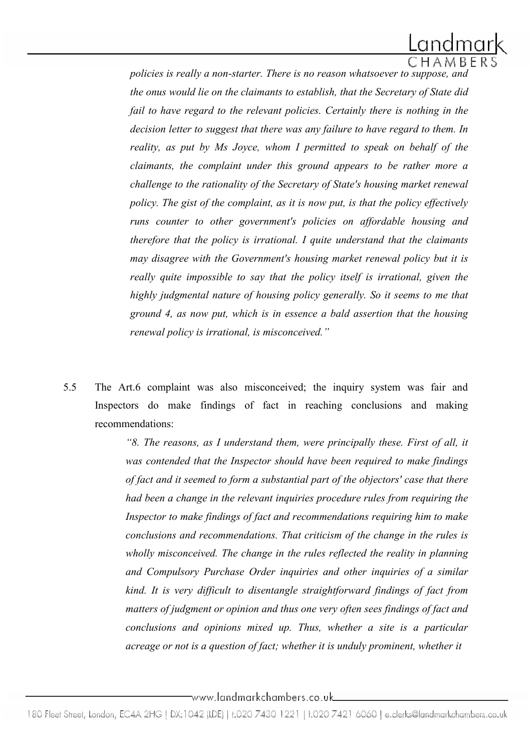policies is really a non-starter. There is no reason whatsoever to suppose, and the onus would lie on the claimants to establish, that the Secretary of State did fail to have regard to the relevant policies. Certainly there is nothing in the decision letter to suggest that there was any failure to have regard to them. In reality, as put by Ms Joyce, whom I permitted to speak on behalf of the claimants, the complaint under this ground appears to be rather more a challenge to the rationality of the Secretary of State's housing market renewal policy. The gist of the complaint, as it is now put, is that the policy effectively runs counter to other government's policies on affordable housing and therefore that the policy is irrational. I quite understand that the claimants may disagree with the Government's housing market renewal policy but it is really quite impossible to say that the policy itself is irrational, given the highly judgmental nature of housing policy generally. So it seems to me that ground 4, as now put, which is in essence a bald assertion that the housing renewal policy is irrational, is misconceived."

5.5 The Art.6 complaint was also misconceived; the inquiry system was fair and Inspectors do make findings of fact in reaching conclusions and making recommendations:

> "8. The reasons, as I understand them, were principally these. First of all, it was contended that the Inspector should have been required to make findings of fact and it seemed to form a substantial part of the objectors' case that there had been a change in the relevant inquiries procedure rules from requiring the Inspector to make findings of fact and recommendations requiring him to make conclusions and recommendations. That criticism of the change in the rules is wholly misconceived. The change in the rules reflected the reality in planning and Compulsory Purchase Order inquiries and other inquiries of a similar kind. It is very difficult to disentangle straightforward findings of fact from matters of judgment or opinion and thus one very often sees findings of fact and conclusions and opinions mixed up. Thus, whether a site is a particular acreage or not is a question of fact; whether it is unduly prominent, whether it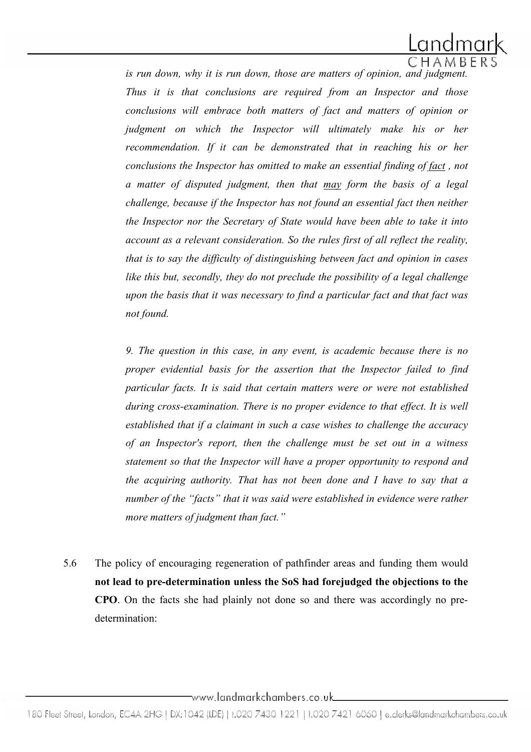

is run down, why it is run down, those are matters of opinion, and judgment. Thus it is that conclusions are required from an Inspector and those conclusions will embrace both matters of fact and matters of opinion or judgment on which the Inspector will ultimately make his or her recommendation. If it can be demonstrated that in reaching his or her conclusions the Inspector has omitted to make an essential finding of fact , not a matter of disputed judgment, then that may form the basis of a legal challenge, because if the Inspector has not found an essential fact then neither the Inspector nor the Secretary of State would have been able to take it into account as a relevant consideration. So the rules first of all reflect the reality, that is to say the difficulty of distinguishing between fact and opinion in cases like this but, secondly, they do not preclude the possibility of a legal challenge upon the basis that it was necessary to find a particular fact and that fact was not found.

9. The question in this case, in any event, is academic because there is no proper evidential basis for the assertion that the Inspector failed to find particular facts. It is said that certain matters were or were not established during cross-examination. There is no proper evidence to that effect. It is well established that if a claimant in such a case wishes to challenge the accuracy of an Inspector's report, then the challenge must be set out in a witness statement so that the Inspector will have a proper opportunity to respond and the acquiring authority. That has not been done and I have to say that a number of the "facts" that it was said were established in evidence were rather more matters of judgment than fact."

5.6 The policy of encouraging regeneration of pathfinder areas and funding them would not lead to pre-determination unless the SoS had forejudged the objections to the CPO. On the facts she had plainly not done so and there was accordingly no predetermination: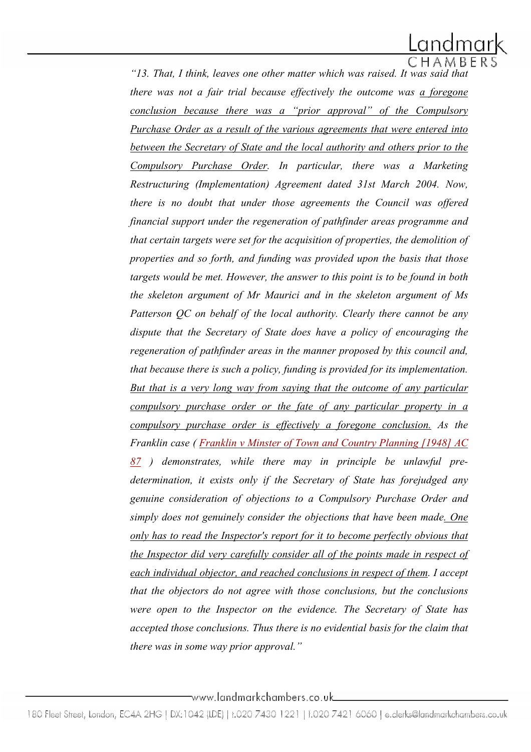"13. That, I think, leaves one other matter which was raised. It was said that there was not a fair trial because effectively the outcome was a foregone conclusion because there was a "prior approval" of the Compulsory Purchase Order as a result of the various agreements that were entered into between the Secretary of State and the local authority and others prior to the Compulsory Purchase Order. In particular, there was a Marketing Restructuring (Implementation) Agreement dated 31st March 2004. Now, there is no doubt that under those agreements the Council was offered financial support under the regeneration of pathfinder areas programme and that certain targets were set for the acquisition of properties, the demolition of properties and so forth, and funding was provided upon the basis that those targets would be met. However, the answer to this point is to be found in both the skeleton argument of Mr Maurici and in the skeleton argument of Ms Patterson QC on behalf of the local authority. Clearly there cannot be any dispute that the Secretary of State does have a policy of encouraging the regeneration of pathfinder areas in the manner proposed by this council and, that because there is such a policy, funding is provided for its implementation. But that is a very long way from saying that the outcome of any particular compulsory purchase order or the fate of any particular property in a compulsory purchase order is effectively a foregone conclusion. As the Franklin case ( Franklin v Minster of Town and Country Planning [1948] AC  $87$ ) demonstrates, while there may in principle be unlawful predetermination, it exists only if the Secretary of State has forejudged any genuine consideration of objections to a Compulsory Purchase Order and simply does not genuinely consider the objections that have been made. One only has to read the Inspector's report for it to become perfectly obvious that the Inspector did very carefully consider all of the points made in respect of each individual objector, and reached conclusions in respect of them. I accept that the objectors do not agree with those conclusions, but the conclusions were open to the Inspector on the evidence. The Secretary of State has accepted those conclusions. Thus there is no evidential basis for the claim that there was in some way prior approval."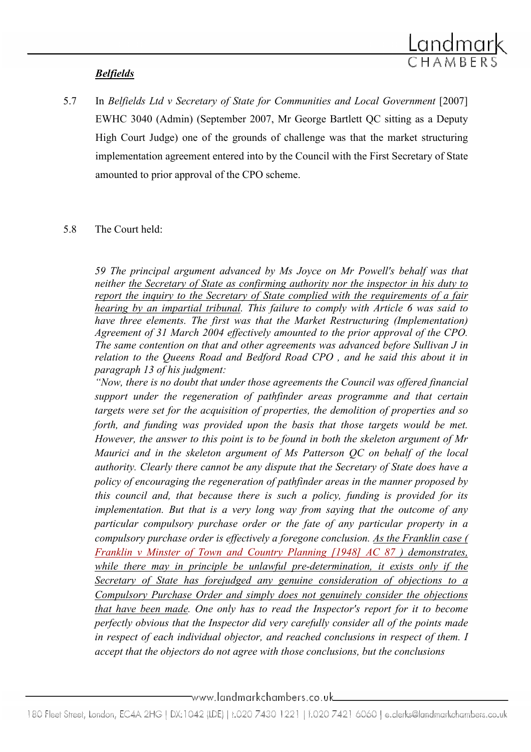# Belfields

5.7 In Belfields Ltd v Secretary of State for Communities and Local Government [2007] EWHC 3040 (Admin) (September 2007, Mr George Bartlett QC sitting as a Deputy High Court Judge) one of the grounds of challenge was that the market structuring implementation agreement entered into by the Council with the First Secretary of State amounted to prior approval of the CPO scheme.

# 5.8 The Court held:

59 The principal argument advanced by Ms Joyce on Mr Powell's behalf was that neither the Secretary of State as confirming authority nor the inspector in his duty to report the inquiry to the Secretary of State complied with the requirements of a fair hearing by an impartial tribunal. This failure to comply with Article 6 was said to have three elements. The first was that the Market Restructuring (Implementation) Agreement of 31 March 2004 effectively amounted to the prior approval of the CPO. The same contention on that and other agreements was advanced before Sullivan J in relation to the Queens Road and Bedford Road CPO , and he said this about it in paragraph 13 of his judgment:

"Now, there is no doubt that under those agreements the Council was offered financial support under the regeneration of pathfinder areas programme and that certain targets were set for the acquisition of properties, the demolition of properties and so forth, and funding was provided upon the basis that those targets would be met. However, the answer to this point is to be found in both the skeleton argument of Mr Maurici and in the skeleton argument of Ms Patterson QC on behalf of the local authority. Clearly there cannot be any dispute that the Secretary of State does have a policy of encouraging the regeneration of pathfinder areas in the manner proposed by this council and, that because there is such a policy, funding is provided for its implementation. But that is a very long way from saying that the outcome of any particular compulsory purchase order or the fate of any particular property in a compulsory purchase order is effectively a foregone conclusion. As the Franklin case ( Franklin v Minster of Town and Country Planning [1948] AC 87 ) demonstrates, while there may in principle be unlawful pre-determination, it exists only if the Secretary of State has forejudged any genuine consideration of objections to a Compulsory Purchase Order and simply does not genuinely consider the objections that have been made. One only has to read the Inspector's report for it to become perfectly obvious that the Inspector did very carefully consider all of the points made in respect of each individual objector, and reached conclusions in respect of them. I accept that the objectors do not agree with those conclusions, but the conclusions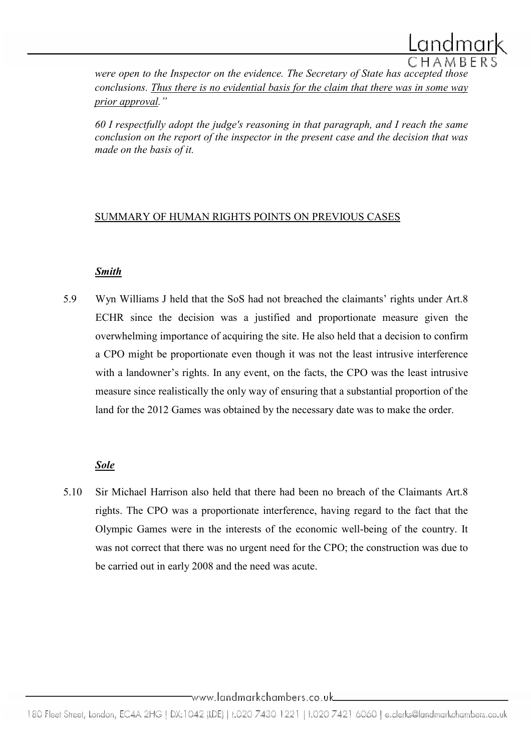

were open to the Inspector on the evidence. The Secretary of State has accepted those conclusions. Thus there is no evidential basis for the claim that there was in some way prior approval."

60 I respectfully adopt the judge's reasoning in that paragraph, and I reach the same conclusion on the report of the inspector in the present case and the decision that was made on the basis of it.

### SUMMARY OF HUMAN RIGHTS POINTS ON PREVIOUS CASES

# **Smith**

5.9 Wyn Williams J held that the SoS had not breached the claimants' rights under Art.8 ECHR since the decision was a justified and proportionate measure given the overwhelming importance of acquiring the site. He also held that a decision to confirm a CPO might be proportionate even though it was not the least intrusive interference with a landowner's rights. In any event, on the facts, the CPO was the least intrusive measure since realistically the only way of ensuring that a substantial proportion of the land for the 2012 Games was obtained by the necessary date was to make the order.

# Sole

5.10 Sir Michael Harrison also held that there had been no breach of the Claimants Art.8 rights. The CPO was a proportionate interference, having regard to the fact that the Olympic Games were in the interests of the economic well-being of the country. It was not correct that there was no urgent need for the CPO; the construction was due to be carried out in early 2008 and the need was acute.